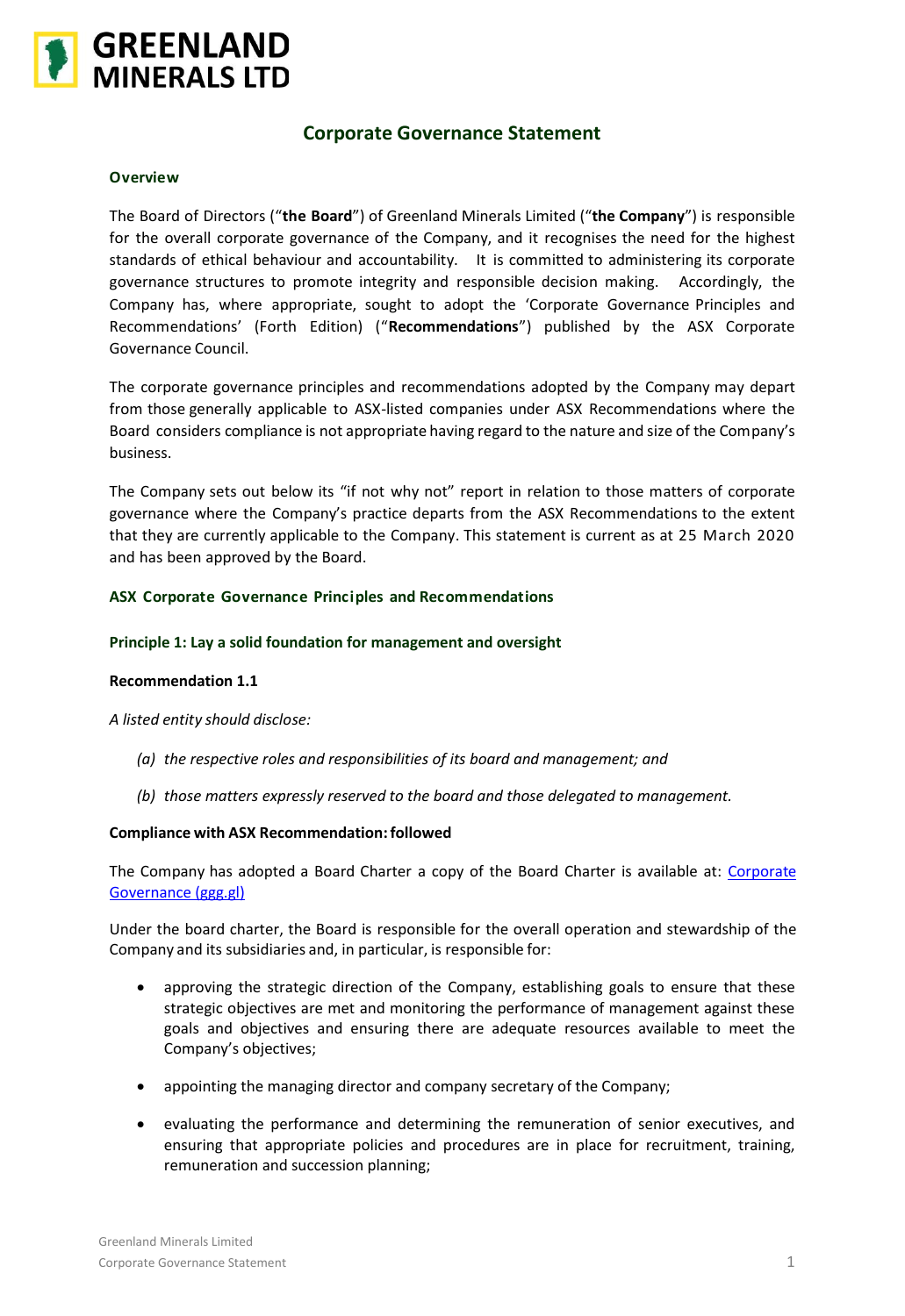

# **Corporate Governance Statement**

### **Overview**

The Board of Directors ("**the Board**") of Greenland Minerals Limited ("**the Company**") is responsible for the overall corporate governance of the Company, and it recognises the need for the highest standards of ethical behaviour and accountability. It is committed to administering its corporate governance structures to promote integrity and responsible decision making. Accordingly, the Company has, where appropriate, sought to adopt the 'Corporate Governance Principles and Recommendations' (Forth Edition) ("**Recommendations**") published by the ASX Corporate Governance Council.

The corporate governance principles and recommendations adopted by the Company may depart from those generally applicable to ASX-listed companies under ASX Recommendations where the Board considers compliance is not appropriate having regard to the nature and size of the Company's business.

The Company sets out below its "if not why not" report in relation to those matters of corporate governance where the Company's practice departs from the ASX Recommendations to the extent that they are currently applicable to the Company. This statement is current as at 25 March 2020 and has been approved by the Board.

# **ASX Corporate Governance Principles and Recommendations**

# **Principle 1: Lay a solid foundation for management and oversight**

# **Recommendation 1.1**

*A listed entity should disclose:*

- *(a) the respective roles and responsibilities of its board and management; and*
- *(b) those matters expressly reserved to the board and those delegated to management.*

### **Compliance with ASX Recommendation:followed**

The Company has adopted a Board Charter a copy of the Board Charter is available at: [Corporate](https://www.ggg.gl/investors/corporate-governance/)  [Governance \(ggg.gl\)](https://www.ggg.gl/investors/corporate-governance/)

Under the board charter, the Board is responsible for the overall operation and stewardship of the Company and its subsidiaries and, in particular, is responsible for:

- approving the strategic direction of the Company, establishing goals to ensure that these strategic objectives are met and monitoring the performance of management against these goals and objectives and ensuring there are adequate resources available to meet the Company's objectives;
- appointing the managing director and company secretary of the Company;
- evaluating the performance and determining the remuneration of senior executives, and ensuring that appropriate policies and procedures are in place for recruitment, training, remuneration and succession planning;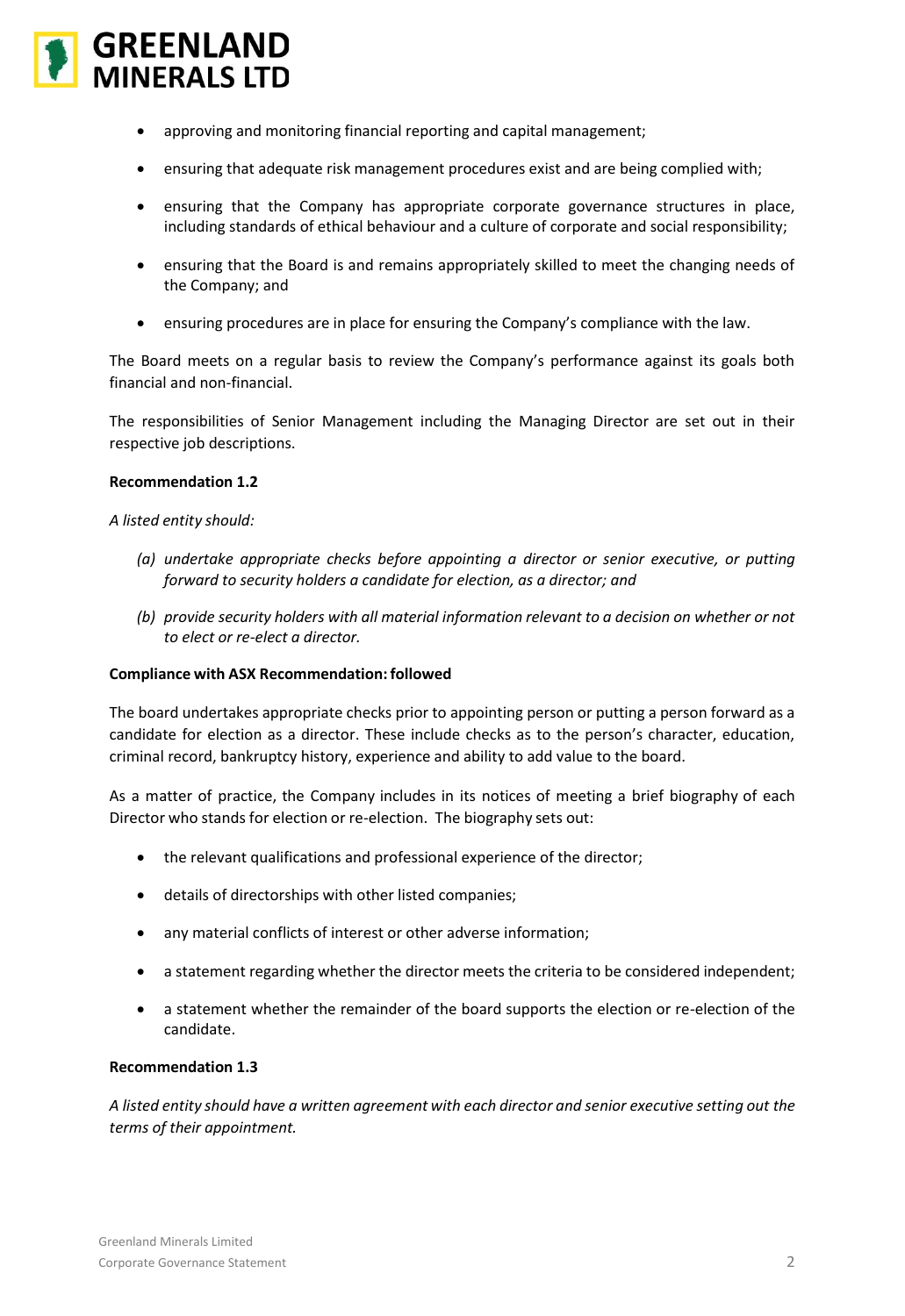

- approving and monitoring financial reporting and capital management;
- ensuring that adequate risk management procedures exist and are being complied with;
- ensuring that the Company has appropriate corporate governance structures in place, including standards of ethical behaviour and a culture of corporate and social responsibility;
- ensuring that the Board is and remains appropriately skilled to meet the changing needs of the Company; and
- ensuring procedures are in place for ensuring the Company's compliance with the law.

The Board meets on a regular basis to review the Company's performance against its goals both financial and non-financial.

The responsibilities of Senior Management including the Managing Director are set out in their respective job descriptions.

### **Recommendation 1.2**

*A listed entity should:*

- *(a) undertake appropriate checks before appointing a director or senior executive, or putting forward to security holders a candidate for election, as a director; and*
- *(b) provide security holders with all material information relevant to a decision on whether or not to elect or re-elect a director.*

### **Compliance with ASX Recommendation: followed**

The board undertakes appropriate checks prior to appointing person or putting a person forward as a candidate for election as a director. These include checks as to the person's character, education, criminal record, bankruptcy history, experience and ability to add value to the board.

As a matter of practice, the Company includes in its notices of meeting a brief biography of each Director who stands for election or re-election. The biography sets out:

- the relevant qualifications and professional experience of the director;
- details of directorships with other listed companies;
- any material conflicts of interest or other adverse information;
- a statement regarding whether the director meets the criteria to be considered independent;
- a statement whether the remainder of the board supports the election or re-election of the candidate.

### **Recommendation 1.3**

*A listed entity should have a written agreement with each director and senior executive setting out the terms of their appointment.*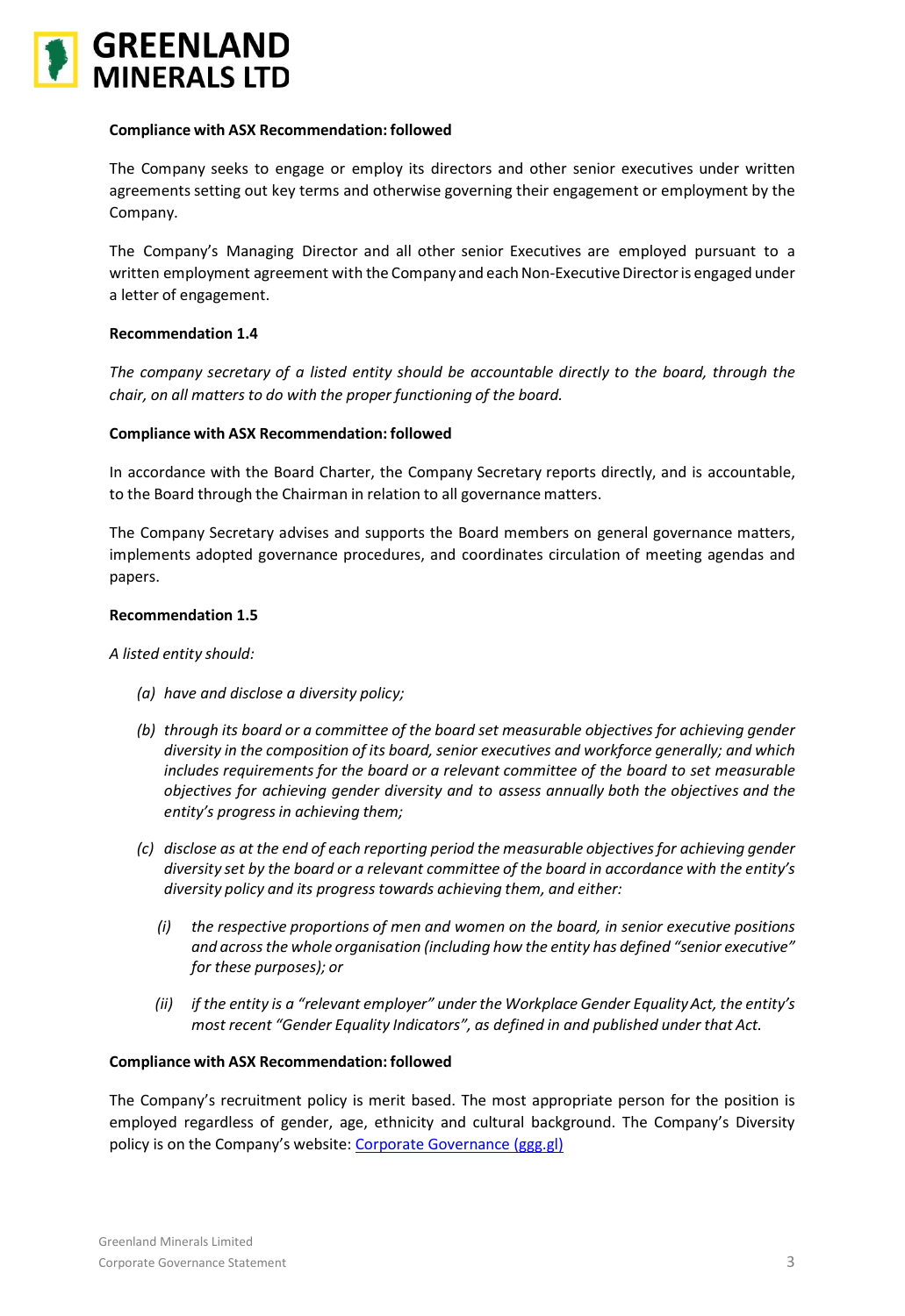

The Company seeks to engage or employ its directors and other senior executives under written agreements setting out key terms and otherwise governing their engagement or employment by the Company.

The Company's Managing Director and all other senior Executives are employed pursuant to a written employment agreement with the Company and each Non-Executive Director is engaged under a letter of engagement.

# **Recommendation 1.4**

*The company secretary of a listed entity should be accountable directly to the board, through the chair, on all matters to do with the proper functioning of the board.*

# **Compliance with ASX Recommendation: followed**

In accordance with the Board Charter, the Company Secretary reports directly, and is accountable, to the Board through the Chairman in relation to all governance matters.

The Company Secretary advises and supports the Board members on general governance matters, implements adopted governance procedures, and coordinates circulation of meeting agendas and papers.

# **Recommendation 1.5**

### *A listed entity should:*

- *(a) have and disclose a diversity policy;*
- *(b) through its board or a committee of the board set measurable objectives for achieving gender diversity in the composition of its board, senior executives and workforce generally; and which includes requirements for the board or a relevant committee of the board to set measurable objectives for achieving gender diversity and to assess annually both the objectives and the entity's progressin achieving them;*
- *(c) disclose as at the end of each reporting period the measurable objectivesfor achieving gender diversity set by the board or a relevant committee of the board in accordance with the entity's diversity policy and its progress towards achieving them, and either:*
	- *(i) the respective proportions of men and women on the board, in senior executive positions and acrossthe whole organisation (including how the entity has defined "senior executive" for these purposes); or*
	- *(ii) if the entity is a "relevant employer" under the Workplace Gender EqualityAct, the entity's most recent "Gender Equality Indicators", as defined in and published under that Act.*

### **Compliance with ASX Recommendation: followed**

The Company's recruitment policy is merit based. The most appropriate person for the position is employed regardless of gender, age, ethnicity and cultural background. The Company's Diversity policy is on the Company's website: [Corporate Governance \(ggg.gl\)](https://www.ggg.gl/investors/corporate-governance/)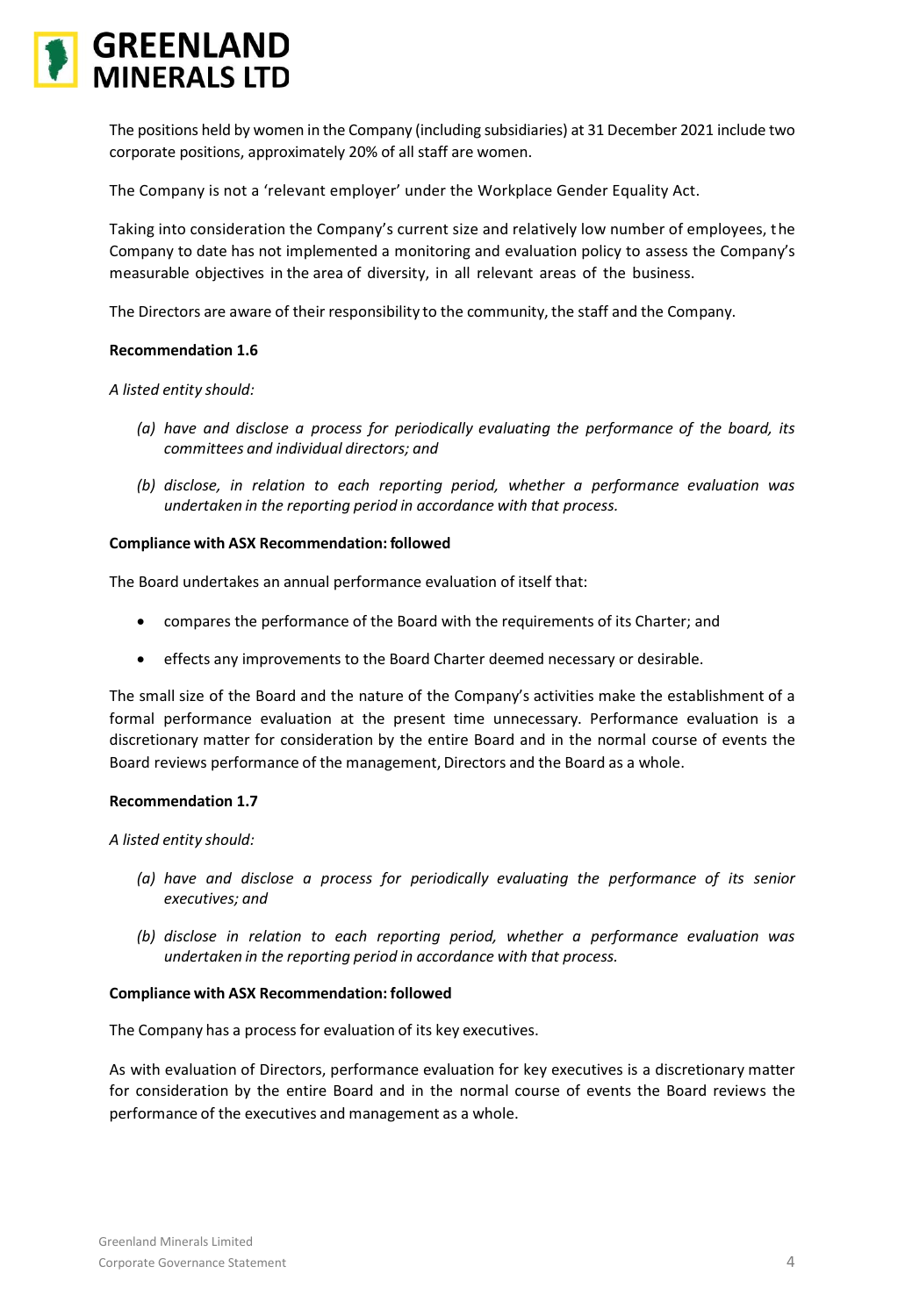

The positions held by women in the Company (including subsidiaries) at 31 December 2021 include two corporate positions, approximately 20% of all staff are women.

The Company is not a 'relevant employer' under the Workplace Gender Equality Act.

Taking into consideration the Company's current size and relatively low number of employees, the Company to date has not implemented a monitoring and evaluation policy to assess the Company's measurable objectives in the area of diversity, in all relevant areas of the business.

The Directors are aware of their responsibility to the community, the staff and the Company.

### **Recommendation 1.6**

*A listed entity should:*

- *(a) have and disclose a process for periodically evaluating the performance of the board, its committees and individual directors; and*
- *(b) disclose, in relation to each reporting period, whether a performance evaluation was undertaken in the reporting period in accordance with that process.*

# **Compliance with ASX Recommendation: followed**

The Board undertakes an annual performance evaluation of itself that:

- compares the performance of the Board with the requirements of its Charter; and
- effects any improvements to the Board Charter deemed necessary or desirable.

The small size of the Board and the nature of the Company's activities make the establishment of a formal performance evaluation at the present time unnecessary. Performance evaluation is a discretionary matter for consideration by the entire Board and in the normal course of events the Board reviews performance of the management, Directors and the Board as a whole.

### **Recommendation 1.7**

*A listed entity should:*

- *(a) have and disclose a process for periodically evaluating the performance of its senior executives; and*
- *(b) disclose in relation to each reporting period, whether a performance evaluation was undertaken in the reporting period in accordance with that process.*

### **Compliance with ASX Recommendation: followed**

The Company has a process for evaluation of its key executives.

As with evaluation of Directors, performance evaluation for key executives is a discretionary matter for consideration by the entire Board and in the normal course of events the Board reviews the performance of the executives and management as a whole.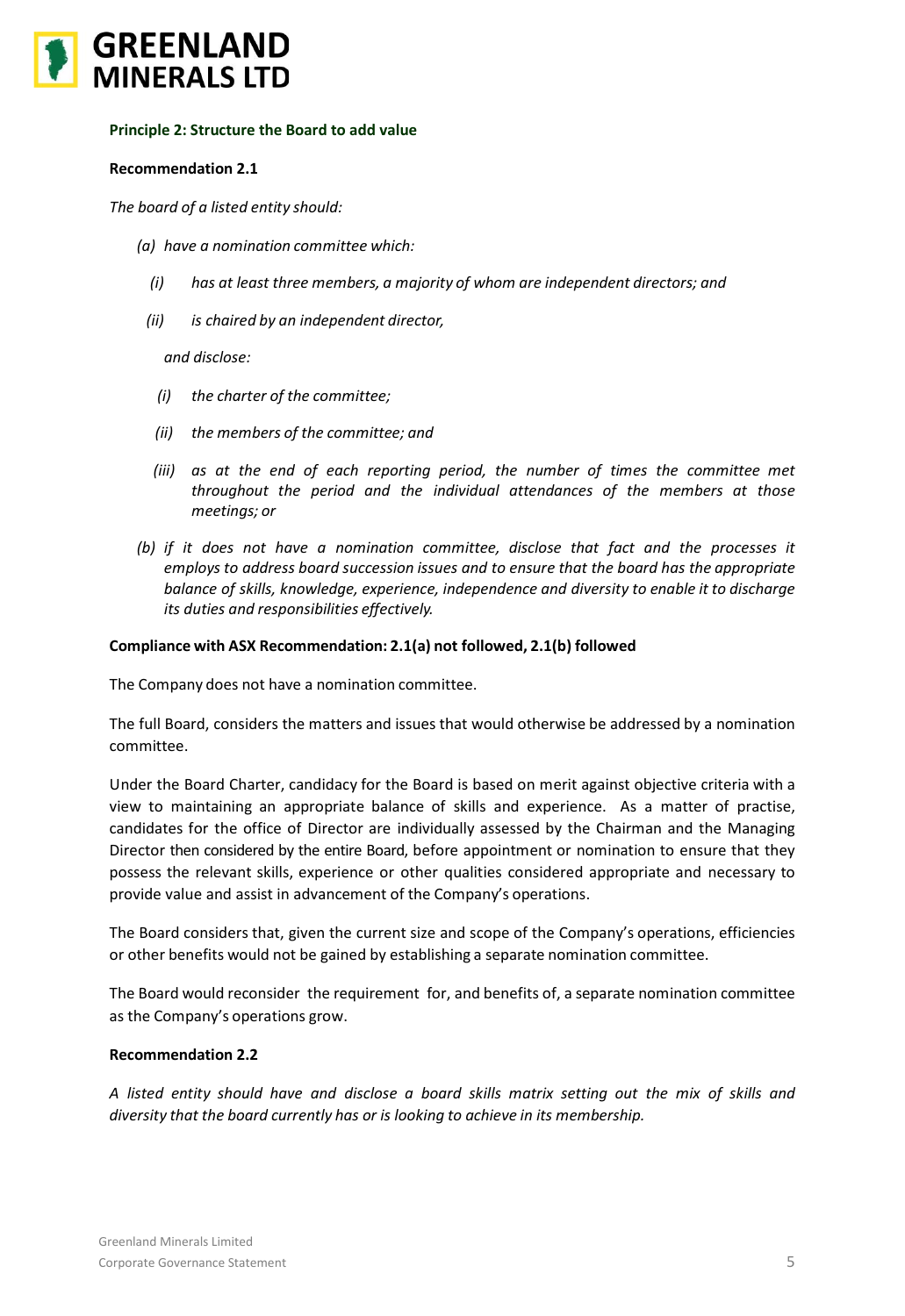

# **Principle 2: Structure the Board to add value**

# **Recommendation 2.1**

*The board of a listed entity should:*

- *(a) have a nomination committee which:*
	- *(i) has at least three members, a majority of whom are independent directors; and*
	- *(ii) is chaired by an independent director,*

*and disclose:*

- *(i) the charter of the committee;*
- *(ii) the members of the committee; and*
- *(iii) as at the end of each reporting period, the number of times the committee met throughout the period and the individual attendances of the members at those meetings; or*
- *(b) if it does not have a nomination committee, disclose that fact and the processes it employs to address board succession issues and to ensure that the board has the appropriate balance of skills, knowledge, experience, independence and diversity to enable it to discharge its duties and responsibilities effectively.*

# **Compliance with ASX Recommendation: 2.1(a) not followed, 2.1(b) followed**

The Company does not have a nomination committee.

The full Board, considers the matters and issues that would otherwise be addressed by a nomination committee.

Under the Board Charter, candidacy for the Board is based on merit against objective criteria with a view to maintaining an appropriate balance of skills and experience. As a matter of practise, candidates for the office of Director are individually assessed by the Chairman and the Managing Director then considered by the entire Board, before appointment or nomination to ensure that they possess the relevant skills, experience or other qualities considered appropriate and necessary to provide value and assist in advancement of the Company's operations.

The Board considers that, given the current size and scope of the Company's operations, efficiencies or other benefits would not be gained by establishing a separate nomination committee.

The Board would reconsider the requirement for, and benefits of, a separate nomination committee as the Company's operations grow.

### **Recommendation 2.2**

*A listed entity should have and disclose a board skills matrix setting out the mix of skills and diversity that the board currently has or is looking to achieve in its membership.*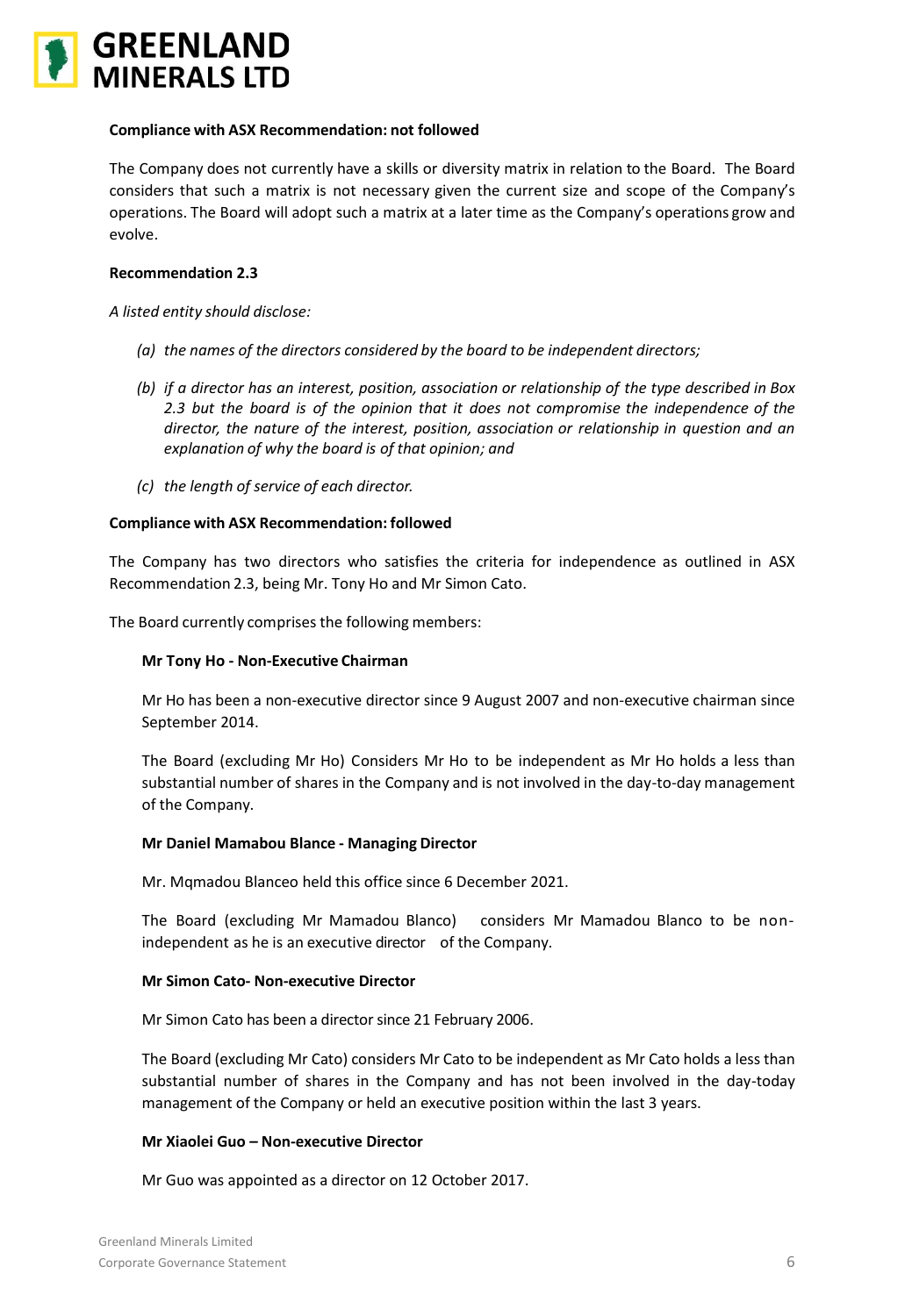

The Company does not currently have a skills or diversity matrix in relation to the Board. The Board considers that such a matrix is not necessary given the current size and scope of the Company's operations. The Board will adopt such a matrix at a later time as the Company's operations grow and evolve.

# **Recommendation 2.3**

*A listed entity should disclose:*

- *(a) the names of the directors considered by the board to be independent directors;*
- *(b) if a director has an interest, position, association or relationship of the type described in Box 2.3 but the board is of the opinion that it does not compromise the independence of the director, the nature of the interest, position, association or relationship in question and an explanation of why the board is of that opinion; and*
- *(c) the length of service of each director.*

### **Compliance with ASX Recommendation: followed**

The Company has two directors who satisfies the criteria for independence as outlined in ASX Recommendation 2.3, being Mr. Tony Ho and Mr Simon Cato.

The Board currently comprises the following members:

### **Mr Tony Ho - Non-Executive Chairman**

Mr Ho has been a non-executive director since 9 August 2007 and non-executive chairman since September 2014.

The Board (excluding Mr Ho) Considers Mr Ho to be independent as Mr Ho holds a less than substantial number of shares in the Company and is not involved in the day-to-day management of the Company.

### **Mr Daniel Mamabou Blance - Managing Director**

Mr. Mqmadou Blanceo held this office since 6 December 2021.

The Board (excluding Mr Mamadou Blanco) considers Mr Mamadou Blanco to be nonindependent as he is an executive director of the Company.

### **Mr Simon Cato- Non-executive Director**

Mr Simon Cato has been a director since 21 February 2006.

The Board (excluding Mr Cato) considers Mr Cato to be independent as Mr Cato holds a less than substantial number of shares in the Company and has not been involved in the day-today management of the Company or held an executive position within the last 3 years.

# **Mr Xiaolei Guo – Non-executive Director**

Mr Guo was appointed as a director on 12 October 2017.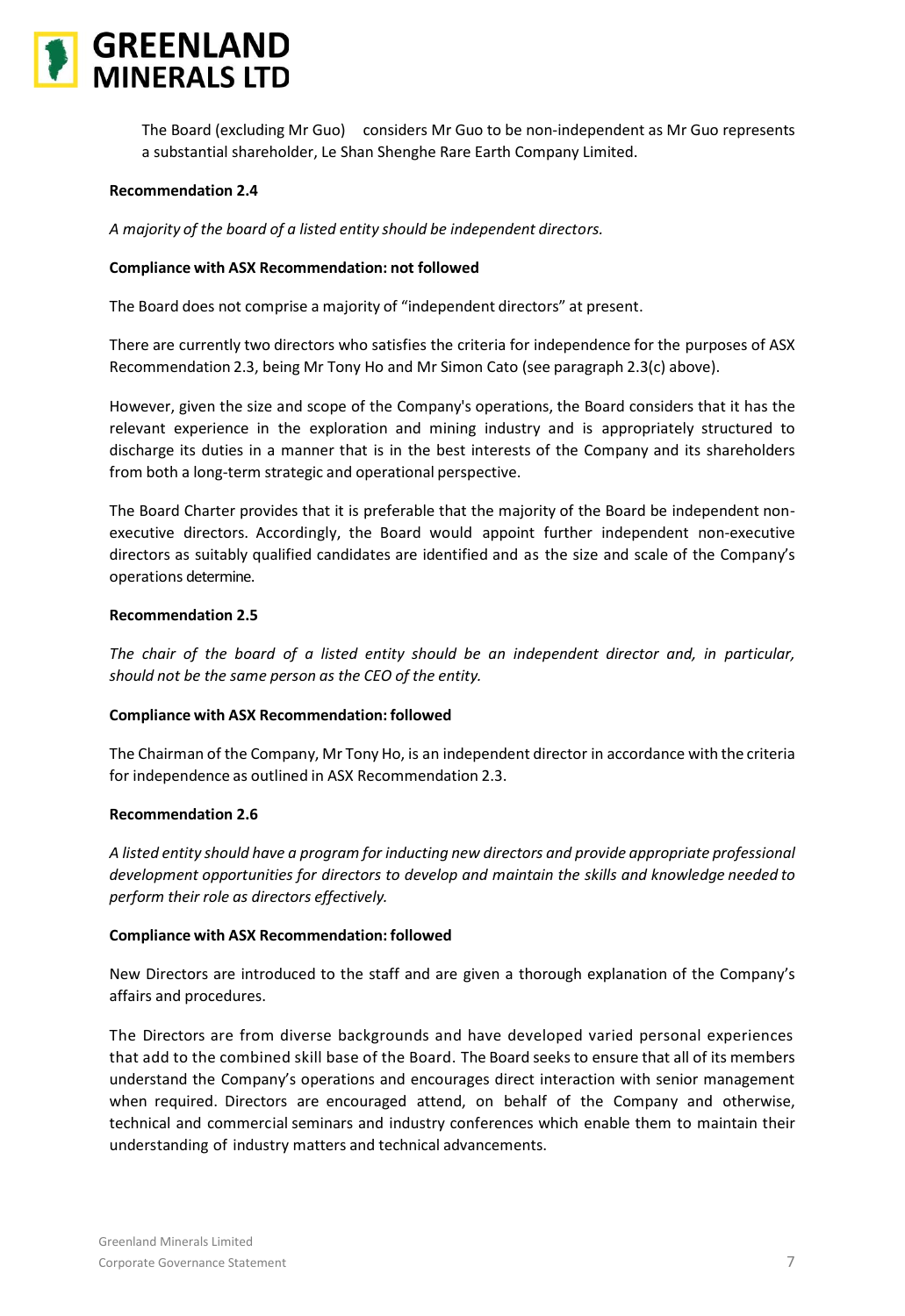

The Board (excluding Mr Guo) considers Mr Guo to be non-independent as Mr Guo represents a substantial shareholder, Le Shan Shenghe Rare Earth Company Limited.

# **Recommendation 2.4**

*A majority of the board of a listed entity should be independent directors.*

### **Compliance with ASX Recommendation: not followed**

The Board does not comprise a majority of "independent directors" at present.

There are currently two directors who satisfies the criteria for independence for the purposes of ASX Recommendation 2.3, being Mr Tony Ho and Mr Simon Cato (see paragraph 2.3(c) above).

However, given the size and scope of the Company's operations, the Board considers that it has the relevant experience in the exploration and mining industry and is appropriately structured to discharge its duties in a manner that is in the best interests of the Company and its shareholders from both a long-term strategic and operational perspective.

The Board Charter provides that it is preferable that the majority of the Board be independent nonexecutive directors. Accordingly, the Board would appoint further independent non-executive directors as suitably qualified candidates are identified and as the size and scale of the Company's operations determine.

# **Recommendation 2.5**

*The chair of the board of a listed entity should be an independent director and, in particular, should not be the same person as the CEO of the entity.*

### **Compliance with ASX Recommendation: followed**

The Chairman of the Company, Mr Tony Ho, is an independent director in accordance with the criteria for independence as outlined in ASX Recommendation 2.3.

# **Recommendation 2.6**

*A listed entity should have a program for inducting new directors and provide appropriate professional development opportunities for directors to develop and maintain the skills and knowledge needed to perform their role as directors effectively.*

### **Compliance with ASX Recommendation: followed**

New Directors are introduced to the staff and are given a thorough explanation of the Company's affairs and procedures.

The Directors are from diverse backgrounds and have developed varied personal experiences that add to the combined skill base of the Board. The Board seeks to ensure that all of its members understand the Company's operations and encourages direct interaction with senior management when required. Directors are encouraged attend, on behalf of the Company and otherwise, technical and commercial seminars and industry conferences which enable them to maintain their understanding of industry matters and technical advancements.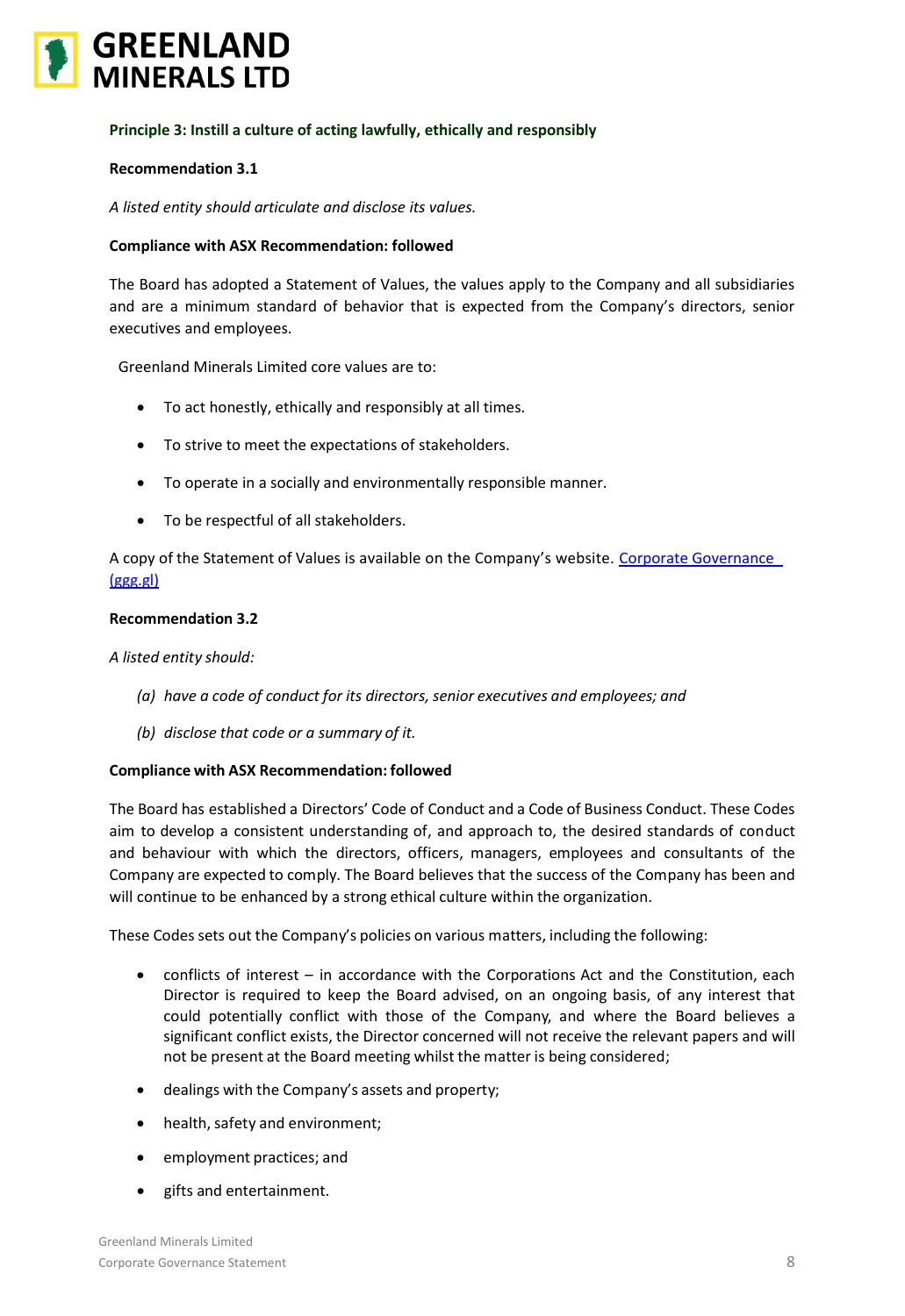

# **Principle 3: Instill a culture of acting lawfully, ethically and responsibly**

# **Recommendation 3.1**

*A listed entity should articulate and disclose its values.*

# **Compliance with ASX Recommendation: followed**

The Board has adopted a Statement of Values, the values apply to the Company and all subsidiaries and are a minimum standard of behavior that is expected from the Company's directors, senior executives and employees.

Greenland Minerals Limited core values are to:

- To act honestly, ethically and responsibly at all times.
- To strive to meet the expectations of stakeholders.
- To operate in a socially and environmentally responsible manner.
- To be respectful of all stakeholders.

A copy of the Statement of Values is available on the Company's website. Corporate Governance [\(ggg.gl\)](https://www.ggg.gl/investors/corporate-governance/)

# **Recommendation 3.2**

*A listed entity should:*

- *(a) have a code of conduct for its directors,senior executives and employees; and*
- *(b) disclose that code or a summary of it.*

# **Compliance with ASX Recommendation: followed**

The Board has established a Directors' Code of Conduct and a Code of Business Conduct. These Codes aim to develop a consistent understanding of, and approach to, the desired standards of conduct and behaviour with which the directors, officers, managers, employees and consultants of the Company are expected to comply. The Board believes that the success of the Company has been and will continue to be enhanced by a strong ethical culture within the organization.

These Codes sets out the Company's policies on various matters, including the following:

- conflicts of interest in accordance with the Corporations Act and the Constitution, each Director is required to keep the Board advised, on an ongoing basis, of any interest that could potentially conflict with those of the Company, and where the Board believes a significant conflict exists, the Director concerned will not receive the relevant papers and will not be present at the Board meeting whilst the matter is being considered;
- dealings with the Company's assets and property;
- health, safety and environment;
- employment practices; and
- gifts and entertainment.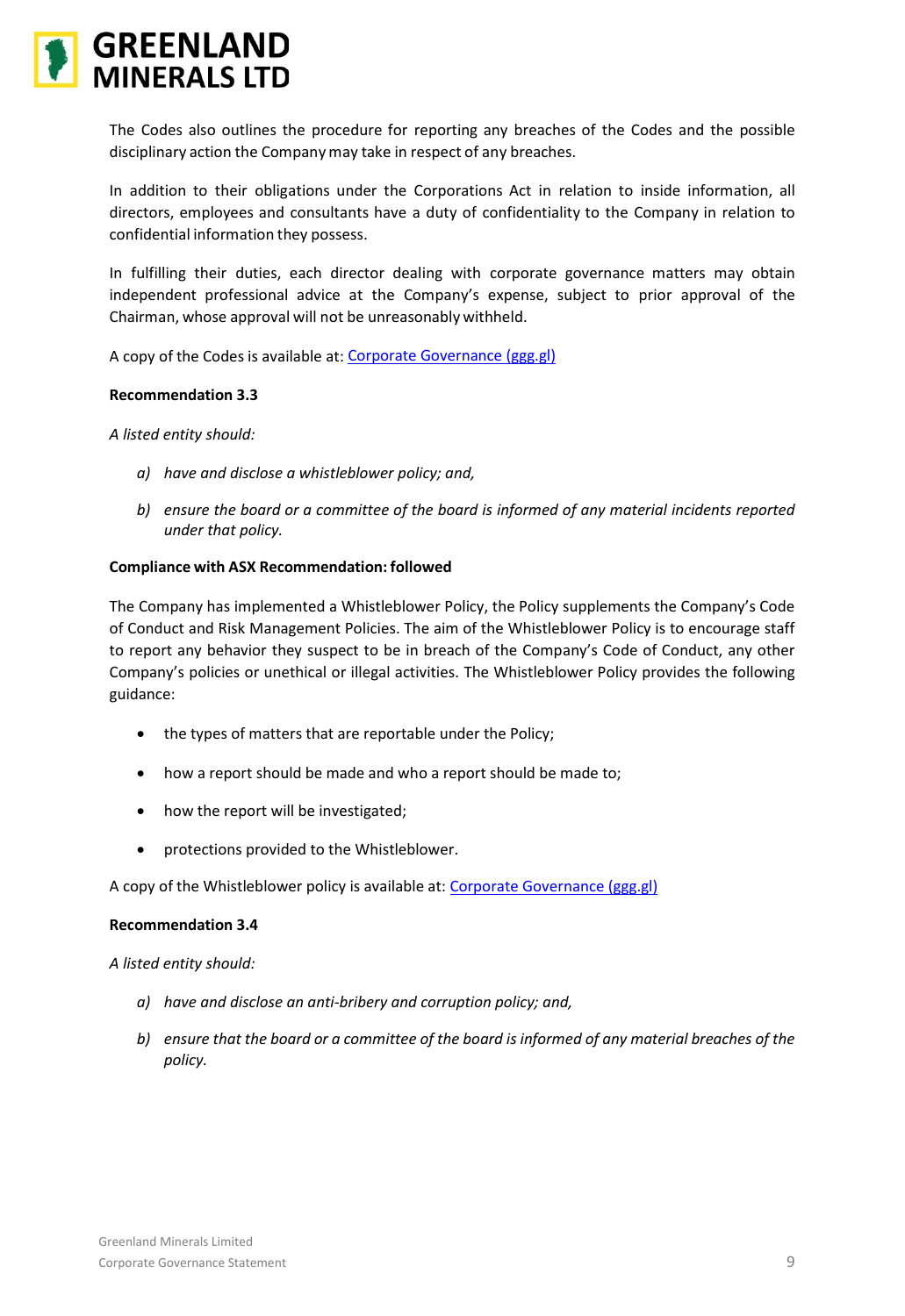

The Codes also outlines the procedure for reporting any breaches of the Codes and the possible disciplinary action the Companymay take in respect of any breaches.

In addition to their obligations under the Corporations Act in relation to inside information, all directors, employees and consultants have a duty of confidentiality to the Company in relation to confidential information they possess.

In fulfilling their duties, each director dealing with corporate governance matters may obtain independent professional advice at the Company's expense, subject to prior approval of the Chairman, whose approval will not be unreasonably withheld.

A copy of the Codes is available at: [Corporate Governance \(ggg.gl\)](https://www.ggg.gl/investors/corporate-governance/)

# **Recommendation 3.3**

*A listed entity should:*

- *a) have and disclose a whistleblower policy; and,*
- *b) ensure the board or a committee of the board is informed of any material incidents reported under that policy.*

# **Compliance with ASX Recommendation: followed**

The Company has implemented a Whistleblower Policy, the Policy supplements the Company's Code of Conduct and Risk Management Policies. The aim of the Whistleblower Policy is to encourage staff to report any behavior they suspect to be in breach of the Company's Code of Conduct, any other Company's policies or unethical or illegal activities. The Whistleblower Policy provides the following guidance:

- the types of matters that are reportable under the Policy;
- how a report should be made and who a report should be made to;
- how the report will be investigated;
- protections provided to the Whistleblower.

A copy of the Whistleblower policy is available at: [Corporate Governance \(ggg.gl\)](https://www.ggg.gl/investors/corporate-governance/)

### **Recommendation 3.4**

*A listed entity should:*

- *a) have and disclose an anti-bribery and corruption policy; and,*
- *b) ensure that the board or a committee of the board is informed of any material breaches of the policy.*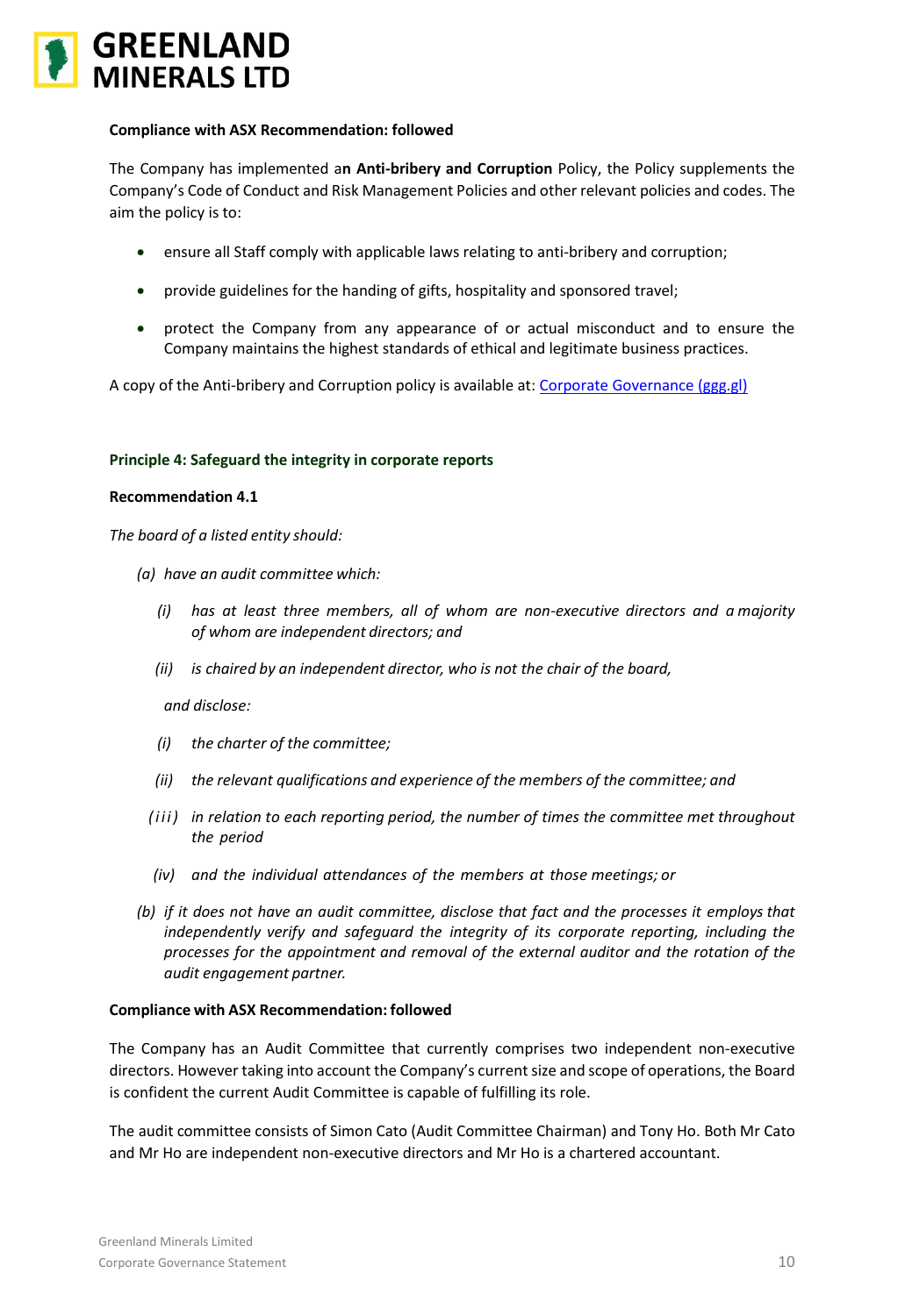

The Company has implemented a**n Anti-bribery and Corruption** Policy, the Policy supplements the Company's Code of Conduct and Risk Management Policies and other relevant policies and codes. The aim the policy is to:

- ensure all Staff comply with applicable laws relating to anti-bribery and corruption;
- provide guidelines for the handing of gifts, hospitality and sponsored travel;
- protect the Company from any appearance of or actual misconduct and to ensure the Company maintains the highest standards of ethical and legitimate business practices.

A copy of the Anti-bribery and Corruption policy is available at: [Corporate Governance \(ggg.gl\)](https://www.ggg.gl/investors/corporate-governance/)

# **Principle 4: Safeguard the integrity in corporate reports**

### **Recommendation 4.1**

*The board of a listed entity should:*

- *(a) have an audit committee which:*
	- *(i) has at least three members, all of whom are non-executive directors and a majority of whom are independent directors; and*
	- *(ii) is chaired by an independent director, who is not the chair of the board,*

### *and disclose:*

- *(i) the charter of the committee;*
- *(ii) the relevant qualifications and experience of the members of the committee; and*
- *( i i i ) in relation to each reporting period, the number of times the committee met throughout the period*
- *(iv) and the individual attendances of the members at those meetings; or*
- *(b) if it does not have an audit committee, disclose that fact and the processes it employs that independently verify and safeguard the integrity of its corporate reporting, including the processes for the appointment and removal of the external auditor and the rotation of the audit engagement partner.*

### **Compliance with ASX Recommendation: followed**

The Company has an Audit Committee that currently comprises two independent non-executive directors. However taking into account the Company's current size and scope of operations, the Board is confident the current Audit Committee is capable of fulfilling its role.

The audit committee consists of Simon Cato (Audit Committee Chairman) and Tony Ho. Both Mr Cato and Mr Ho are independent non-executive directors and Mr Ho is a chartered accountant.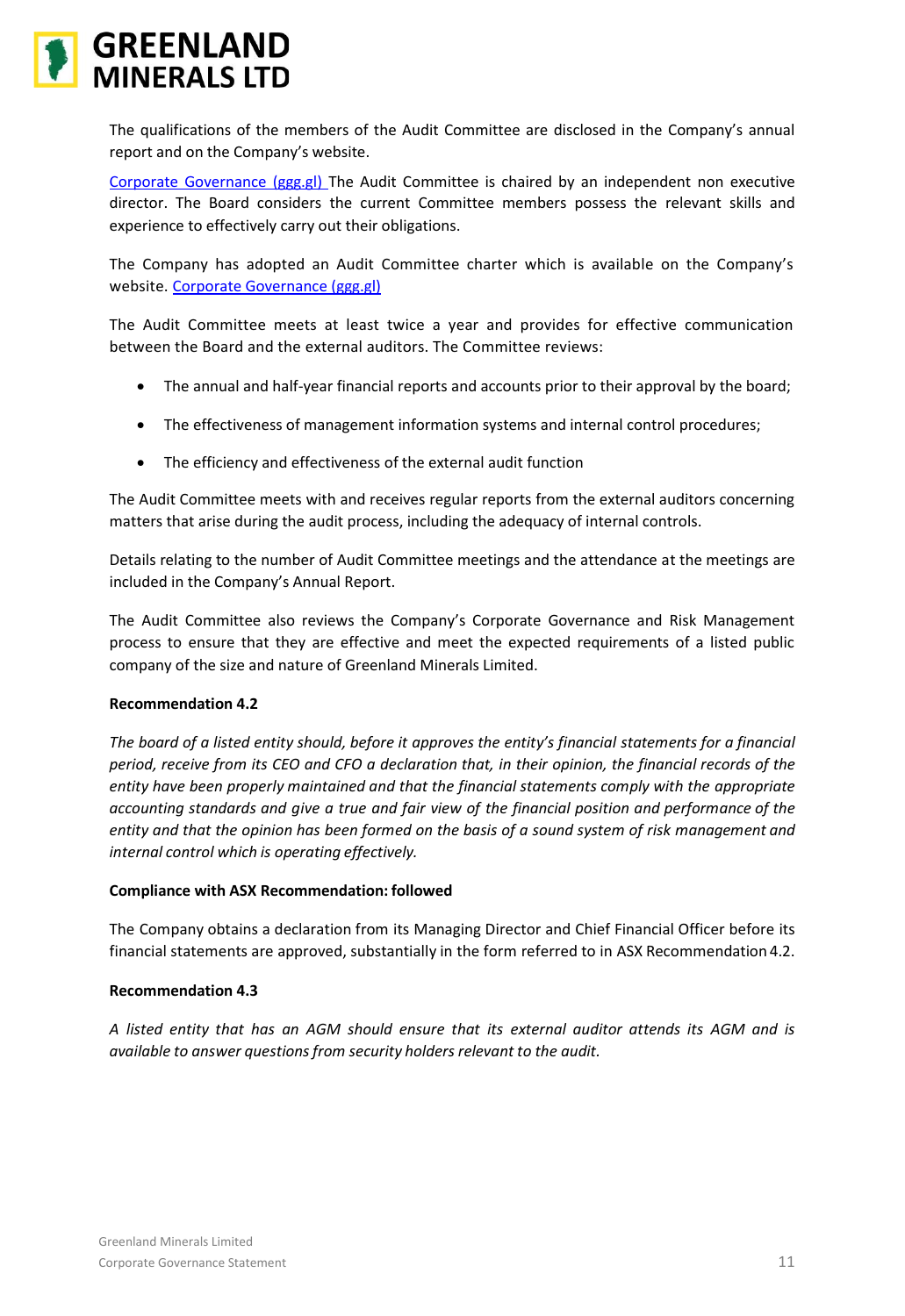

The qualifications of the members of the Audit Committee are disclosed in the Company's annual report and on the Company's website.

[Corporate Governance \(ggg.gl\)](https://www.ggg.gl/investors/corporate-governance/) The Audit Committee is chaired by an independent non executive director. The Board considers the current Committee members possess the relevant skills and experience to effectively carry out their obligations.

The Company has adopted an Audit Committee charter which is available on the Company's website. [Corporate Governance \(ggg.gl\)](https://www.ggg.gl/investors/corporate-governance/)

The Audit Committee meets at least twice a year and provides for effective communication between the Board and the external auditors. The Committee reviews:

- The annual and half-year financial reports and accounts prior to their approval by the board;
- The effectiveness of management information systems and internal control procedures;
- The efficiency and effectiveness of the external audit function

The Audit Committee meets with and receives regular reports from the external auditors concerning matters that arise during the audit process, including the adequacy of internal controls.

Details relating to the number of Audit Committee meetings and the attendance at the meetings are included in the Company's Annual Report.

The Audit Committee also reviews the Company's Corporate Governance and Risk Management process to ensure that they are effective and meet the expected requirements of a listed public company of the size and nature of Greenland Minerals Limited.

# **Recommendation 4.2**

*The board of a listed entity should, before it approves the entity's financial statements for a financial period, receive from its CEO and CFO a declaration that, in their opinion, the financial records of the entity have been properly maintained and that the financial statements comply with the appropriate accounting standards and give a true and fair view of the financial position and performance of the entity and that the opinion has been formed on the basis of a sound system of risk management and internal control which is operating effectively.*

# **Compliance with ASX Recommendation: followed**

The Company obtains a declaration from its Managing Director and Chief Financial Officer before its financial statements are approved, substantially in the form referred to in ASX Recommendation 4.2.

# **Recommendation 4.3**

*A listed entity that has an AGM should ensure that its external auditor attends its AGM and is available to answer questionsfrom security holders relevant to the audit.*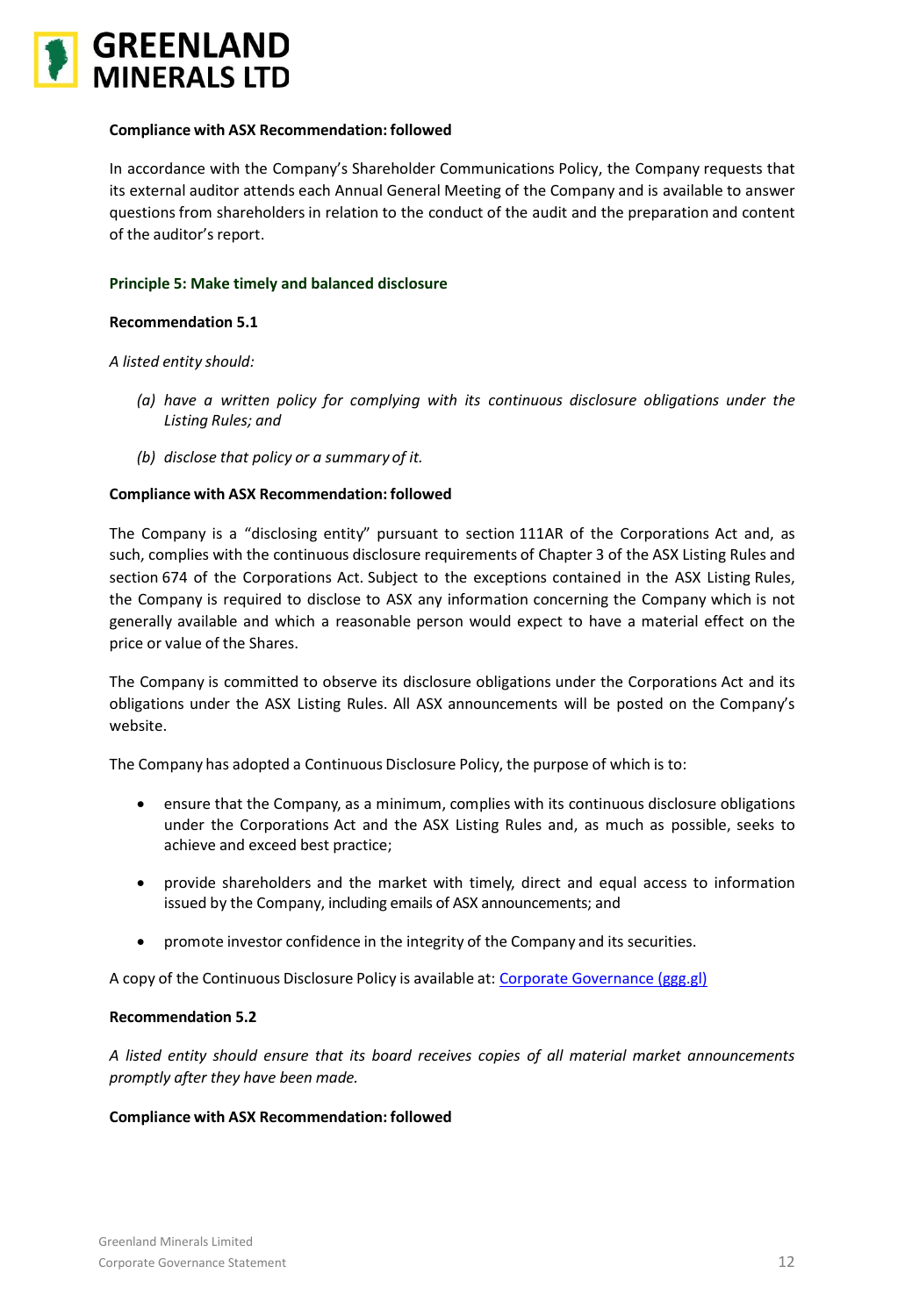

In accordance with the Company's Shareholder Communications Policy, the Company requests that its external auditor attends each Annual General Meeting of the Company and is available to answer questions from shareholders in relation to the conduct of the audit and the preparation and content of the auditor's report.

# **Principle 5: Make timely and balanced disclosure**

### **Recommendation 5.1**

*A listed entity should:*

- *(a) have a written policy for complying with its continuous disclosure obligations under the Listing Rules; and*
- *(b) disclose that policy or a summary of it.*

### **Compliance with ASX Recommendation: followed**

The Company is a "disclosing entity" pursuant to section 111AR of the Corporations Act and, as such, complies with the continuous disclosure requirements of Chapter 3 of the ASX Listing Rules and section 674 of the Corporations Act. Subject to the exceptions contained in the ASX Listing Rules, the Company is required to disclose to ASX any information concerning the Company which is not generally available and which a reasonable person would expect to have a material effect on the price or value of the Shares.

The Company is committed to observe its disclosure obligations under the Corporations Act and its obligations under the ASX Listing Rules. All ASX announcements will be posted on the Company's website.

The Company has adopted a Continuous Disclosure Policy, the purpose of which is to:

- ensure that the Company, as a minimum, complies with its continuous disclosure obligations under the Corporations Act and the ASX Listing Rules and, as much as possible, seeks to achieve and exceed best practice;
- provide shareholders and the market with timely, direct and equal access to information issued by the Company, including emails of ASX announcements; and
- promote investor confidence in the integrity of the Company and its securities.

A copy of the Continuous Disclosure Policy is available at: [Corporate Governance \(ggg.gl\)](https://www.ggg.gl/investors/corporate-governance/)

### **Recommendation 5.2**

*A listed entity should ensure that its board receives copies of all material market announcements promptly after they have been made.*

### **Compliance with ASX Recommendation: followed**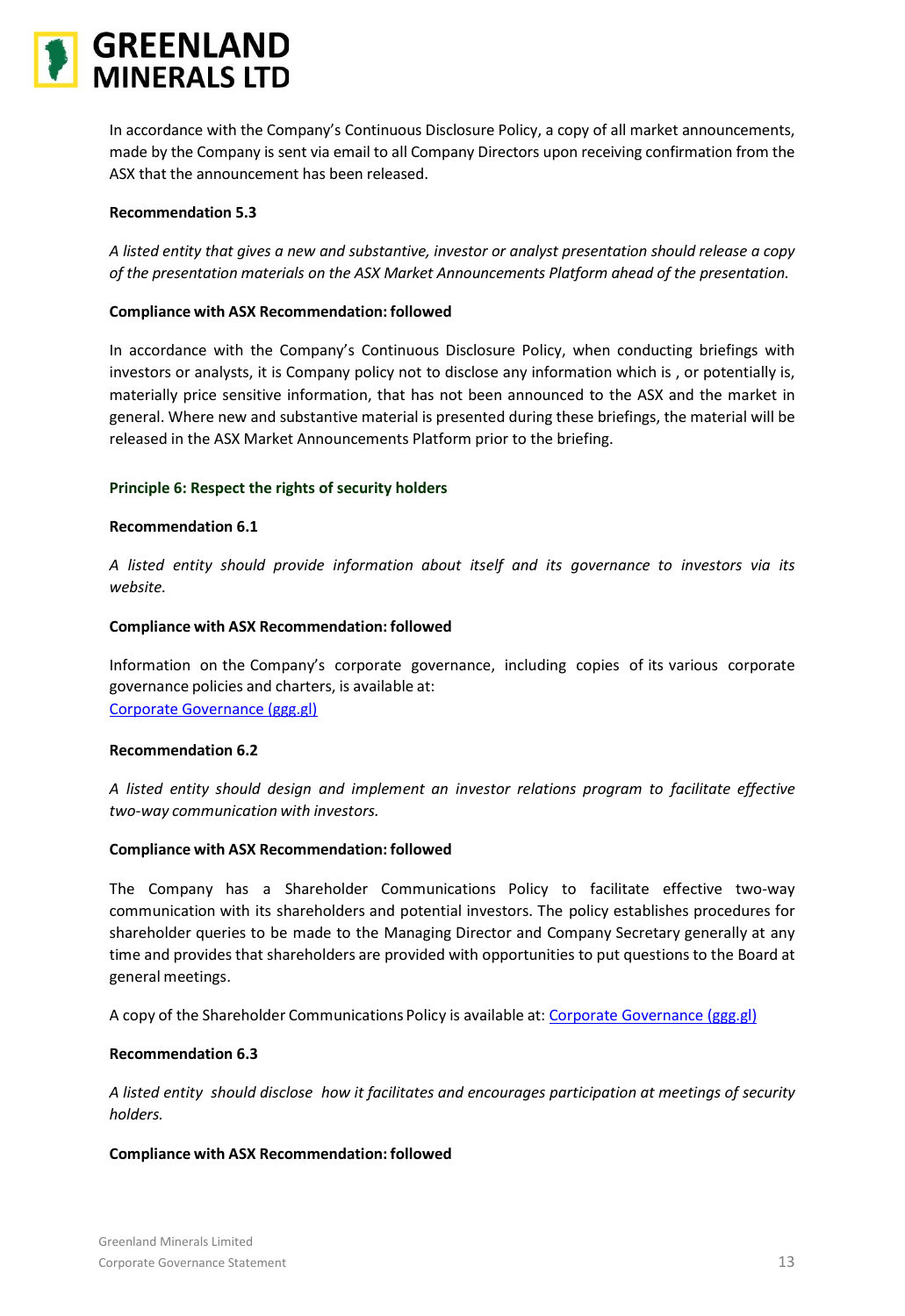

In accordance with the Company's Continuous Disclosure Policy, a copy of all market announcements, made by the Company is sent via email to all Company Directors upon receiving confirmation from the ASX that the announcement has been released.

### **Recommendation 5.3**

*A listed entity that gives a new and substantive, investor or analyst presentation should release a copy of the presentation materials on the ASX Market Announcements Platform ahead of the presentation.*

# **Compliance with ASX Recommendation: followed**

In accordance with the Company's Continuous Disclosure Policy, when conducting briefings with investors or analysts, it is Company policy not to disclose any information which is , or potentially is, materially price sensitive information, that has not been announced to the ASX and the market in general. Where new and substantive material is presented during these briefings, the material will be released in the ASX Market Announcements Platform prior to the briefing.

# **Principle 6: Respect the rights of security holders**

# **Recommendation 6.1**

*A listed entity should provide information about itself and its governance to investors via its website.*

# **Compliance with ASX Recommendation: followed**

Information on the Company's corporate governance, including copies of its various corporate governance policies and charters, is available at: [Corporate Governance \(ggg.gl\)](https://www.ggg.gl/investors/corporate-governance/)

### **Recommendation 6.2**

*A listed entity should design and implement an investor relations program to facilitate effective two-way communication with investors.*

### **Compliance with ASX Recommendation: followed**

The Company has a Shareholder Communications Policy to facilitate effective two-way communication with its shareholders and potential investors. The policy establishes procedures for shareholder queries to be made to the Managing Director and Company Secretary generally at any time and provides that shareholders are provided with opportunities to put questions to the Board at general meetings.

A copy of the Shareholder Communications Policy is available at: [Corporate Governance \(ggg.gl\)](https://www.ggg.gl/investors/corporate-governance/)

# **Recommendation 6.3**

*A listed entity should disclose how it facilitates and encourages participation at meetings of security holders.*

### **Compliance with ASX Recommendation: followed**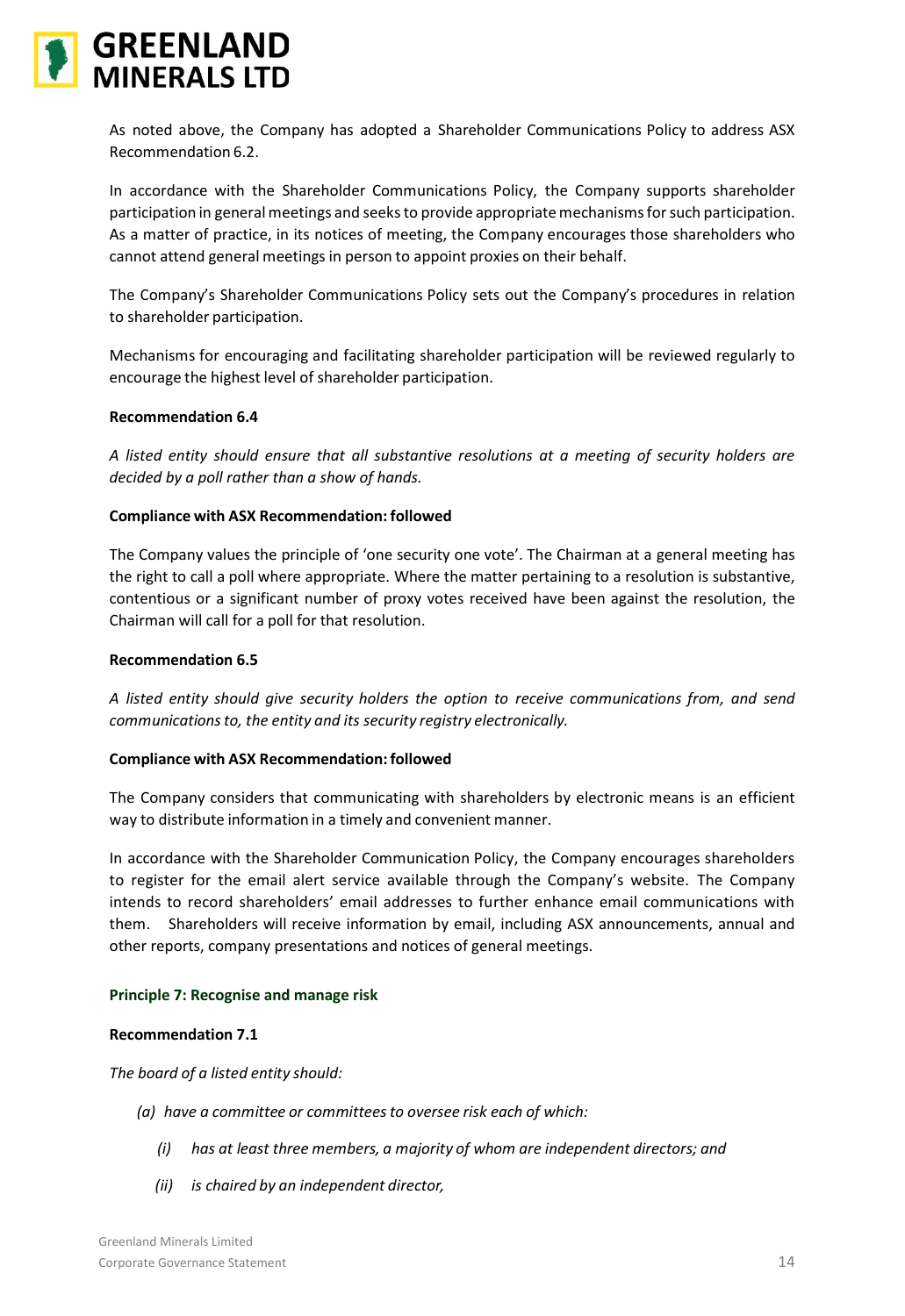

As noted above, the Company has adopted a Shareholder Communications Policy to address ASX Recommendation 6.2.

In accordance with the Shareholder Communications Policy, the Company supports shareholder participation in general meetings and seeks to provide appropriate mechanisms for such participation. As a matter of practice, in its notices of meeting, the Company encourages those shareholders who cannot attend general meetings in person to appoint proxies on their behalf.

The Company's Shareholder Communications Policy sets out the Company's procedures in relation to shareholder participation.

Mechanisms for encouraging and facilitating shareholder participation will be reviewed regularly to encourage the highest level of shareholder participation.

# **Recommendation 6.4**

*A listed entity should ensure that all substantive resolutions at a meeting of security holders are decided by a poll rather than a show of hands.*

# **Compliance with ASX Recommendation: followed**

The Company values the principle of 'one security one vote'. The Chairman at a general meeting has the right to call a poll where appropriate. Where the matter pertaining to a resolution is substantive, contentious or a significant number of proxy votes received have been against the resolution, the Chairman will call for a poll for that resolution.

### **Recommendation 6.5**

*A listed entity should give security holders the option to receive communications from, and send communicationsto, the entity and its security registry electronically.*

# **Compliance with ASX Recommendation: followed**

The Company considers that communicating with shareholders by electronic means is an efficient way to distribute information in a timely and convenient manner.

In accordance with the Shareholder Communication Policy, the Company encourages shareholders to register for the email alert service available through the Company's website. The Company intends to record shareholders' email addresses to further enhance email communications with them. Shareholders will receive information by email, including ASX announcements, annual and other reports, company presentations and notices of general meetings.

### **Principle 7: Recognise and manage risk**

### **Recommendation 7.1**

*The board of a listed entity should:*

- *(a) have a committee or committeesto oversee risk each of which:*
	- *(i) has at least three members, a majority of whom are independent directors; and*
	- *(ii) is chaired by an independent director,*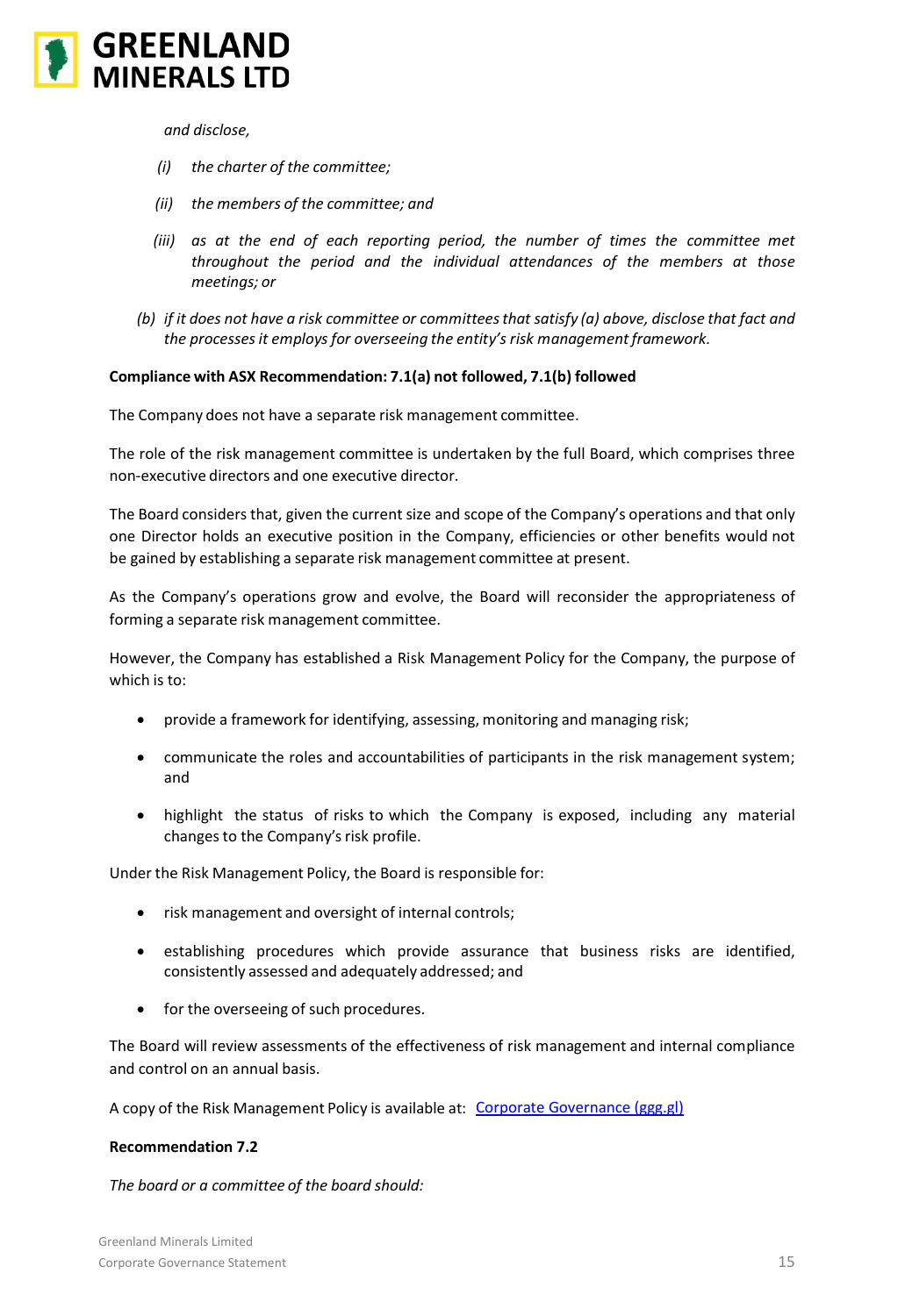

*and disclose,*

- *(i) the charter of the committee;*
- *(ii) the members of the committee; and*
- *(iii) as at the end of each reporting period, the number of times the committee met throughout the period and the individual attendances of the members at those meetings; or*
- *(b) if it does not have a risk committee or committeesthat satisfy (a) above, disclose that fact and the processesit employs for overseeing the entity's risk managementframework.*

# **Compliance with ASX Recommendation: 7.1(a) not followed, 7.1(b) followed**

The Company does not have a separate risk management committee.

The role of the risk management committee is undertaken by the full Board, which comprises three non-executive directors and one executive director.

The Board considers that, given the current size and scope of the Company's operations and that only one Director holds an executive position in the Company, efficiencies or other benefits would not be gained by establishing a separate risk management committee at present.

As the Company's operations grow and evolve, the Board will reconsider the appropriateness of forming a separate risk management committee.

However, the Company has established a Risk Management Policy for the Company, the purpose of which is to:

- provide a framework for identifying, assessing, monitoring and managing risk;
- communicate the roles and accountabilities of participants in the risk management system; and
- highlight the status of risks to which the Company is exposed, including any material changes to the Company's risk profile.

Under the Risk Management Policy, the Board is responsible for:

- risk management and oversight of internal controls;
- establishing procedures which provide assurance that business risks are identified, consistently assessed and adequately addressed; and
- for the overseeing of such procedures.

The Board will review assessments of the effectiveness of risk management and internal compliance and control on an annual basis.

A copy of the Risk Management Policy is available at: [Corporate Governance \(ggg.gl\)](https://www.ggg.gl/investors/corporate-governance/)

### **Recommendation 7.2**

*The board or a committee of the board should:*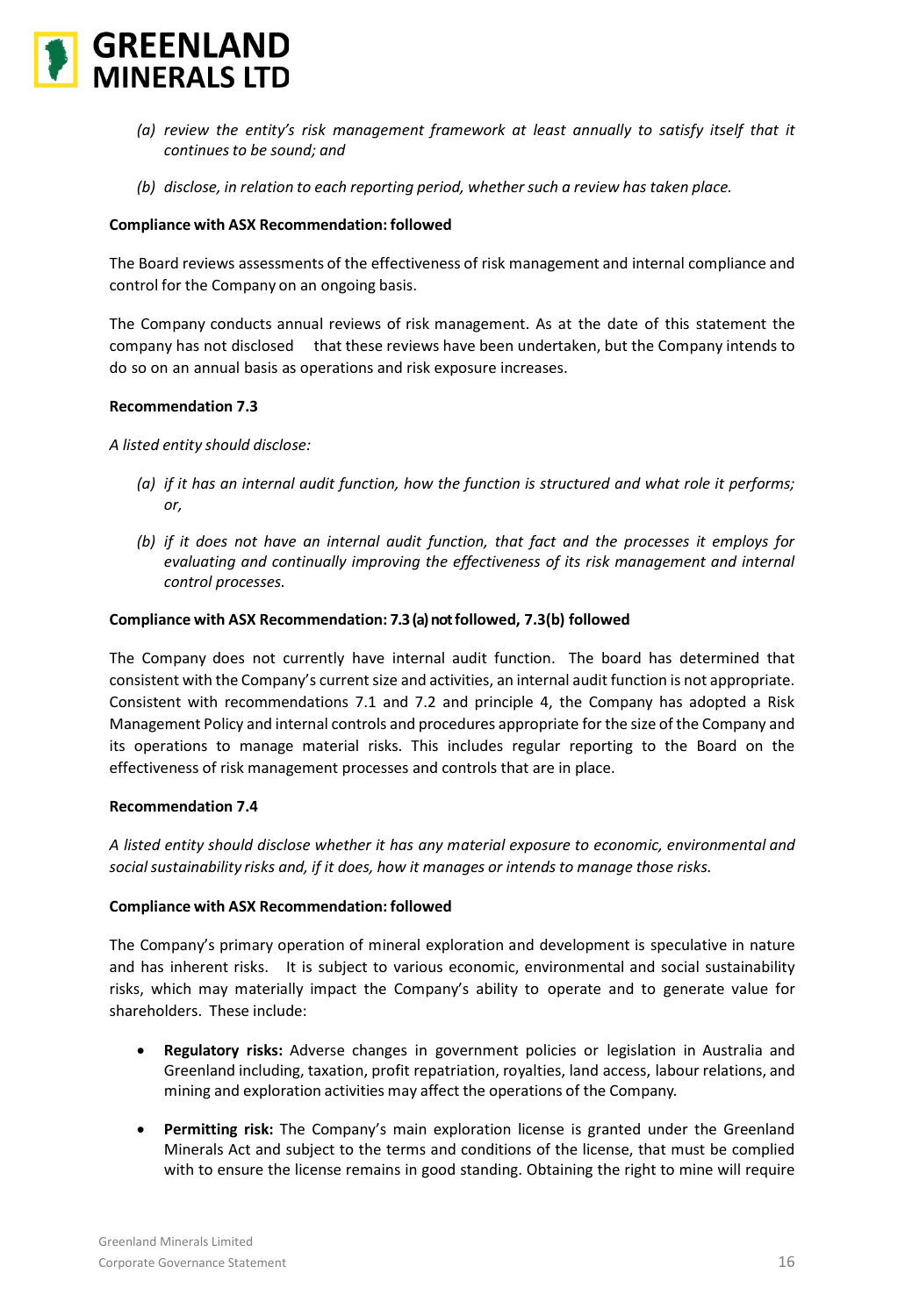

- *(a) review the entity's risk management framework at least annually to satisfy itself that it continuesto be sound; and*
- *(b) disclose, in relation to each reporting period, whether such a review has taken place.*

The Board reviews assessments of the effectiveness of risk management and internal compliance and control for the Company on an ongoing basis.

The Company conducts annual reviews of risk management. As at the date of this statement the company has not disclosed that these reviews have been undertaken, but the Company intends to do so on an annual basis as operations and risk exposure increases.

# **Recommendation 7.3**

*A listed entity should disclose:*

- *(a) if it has an internal audit function, how the function is structured and what role it performs; or,*
- *(b) if it does not have an internal audit function, that fact and the processes it employs for evaluating and continually improving the effectiveness of its risk management and internal control processes.*

# **Compliance with ASX Recommendation: 7.3 (a) not followed, 7.3(b) followed**

The Company does not currently have internal audit function. The board has determined that consistent with the Company's current size and activities, an internal audit function is not appropriate. Consistent with recommendations 7.1 and 7.2 and principle 4, the Company has adopted a Risk Management Policy and internal controls and procedures appropriate for the size of the Company and its operations to manage material risks. This includes regular reporting to the Board on the effectiveness of risk management processes and controls that are in place.

### **Recommendation 7.4**

*A listed entity should disclose whether it has any material exposure to economic, environmental and socialsustainability risks and, if it does, how it manages or intends to manage those risks.*

### **Compliance with ASX Recommendation: followed**

The Company's primary operation of mineral exploration and development is speculative in nature and has inherent risks. It is subject to various economic, environmental and social sustainability risks, which may materially impact the Company's ability to operate and to generate value for shareholders. These include:

- **Regulatory risks:** Adverse changes in government policies or legislation in Australia and Greenland including, taxation, profit repatriation, royalties, land access, labour relations, and mining and exploration activities may affect the operations of the Company.
- **Permitting risk:** The Company's main exploration license is granted under the Greenland Minerals Act and subject to the terms and conditions of the license, that must be complied with to ensure the license remains in good standing. Obtaining the right to mine will require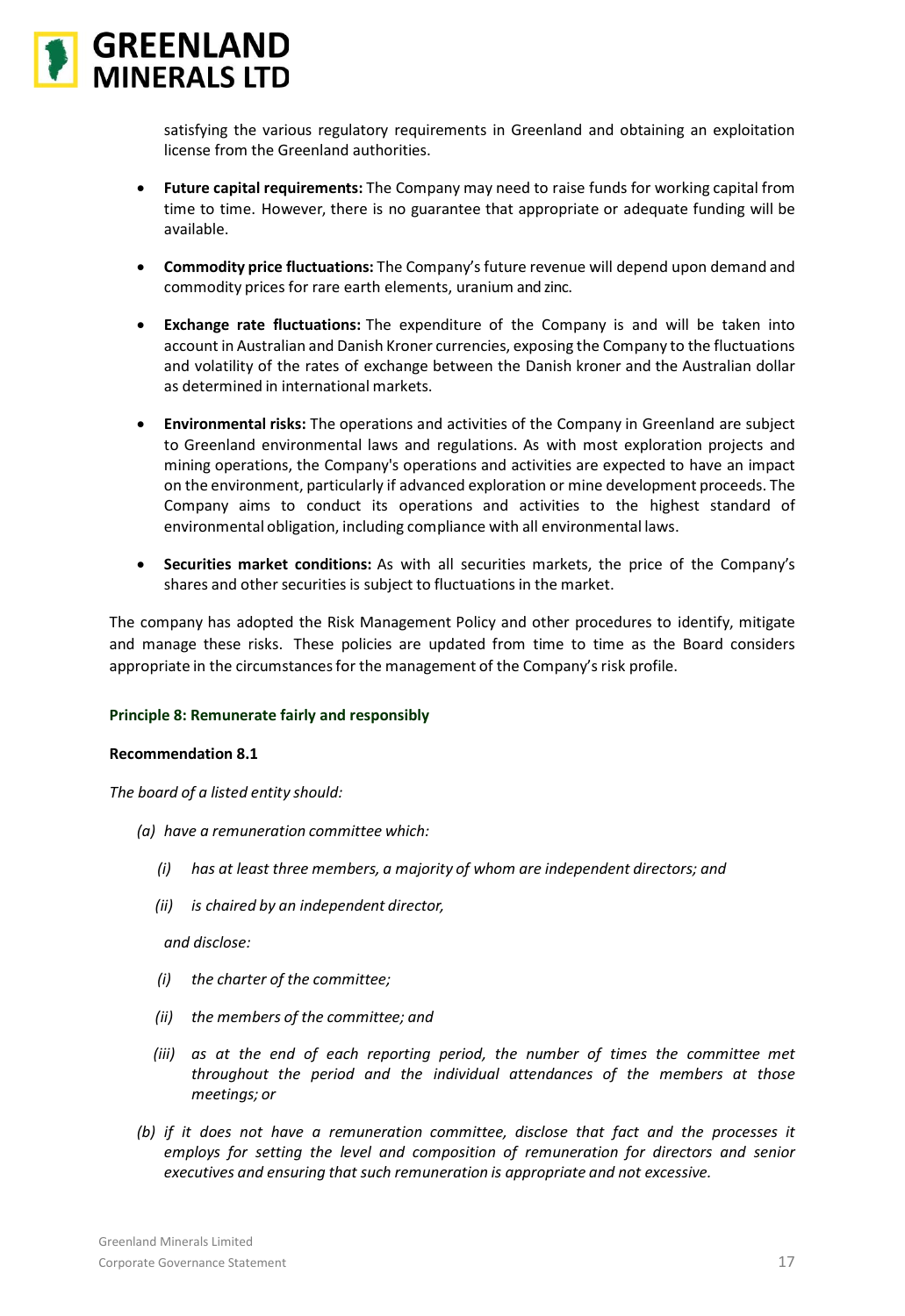

satisfying the various regulatory requirements in Greenland and obtaining an exploitation license from the Greenland authorities.

- **Future capital requirements:** The Company may need to raise funds for working capital from time to time. However, there is no guarantee that appropriate or adequate funding will be available.
- **Commodity price fluctuations:** The Company's future revenue will depend upon demand and commodity prices for rare earth elements, uranium and zinc.
- **Exchange rate fluctuations:** The expenditure of the Company is and will be taken into account in Australian and Danish Kroner currencies, exposing the Company to the fluctuations and volatility of the rates of exchange between the Danish kroner and the Australian dollar as determined in international markets.
- **Environmental risks:** The operations and activities of the Company in Greenland are subject to Greenland environmental laws and regulations. As with most exploration projects and mining operations, the Company's operations and activities are expected to have an impact on the environment, particularly if advanced exploration or mine development proceeds. The Company aims to conduct its operations and activities to the highest standard of environmental obligation, including compliance with all environmental laws.
- **Securities market conditions:** As with all securities markets, the price of the Company's shares and other securities is subject to fluctuations in the market.

The company has adopted the Risk Management Policy and other procedures to identify, mitigate and manage these risks. These policies are updated from time to time as the Board considers appropriate in the circumstances for the management of the Company's risk profile.

# **Principle 8: Remunerate fairly and responsibly**

### **Recommendation 8.1**

*The board of a listed entity should:*

- *(a) have a remuneration committee which:*
	- *(i) has at least three members, a majority of whom are independent directors; and*
	- *(ii) is chaired by an independent director,*

*and disclose:*

- *(i) the charter of the committee;*
- *(ii) the members of the committee; and*
- *(iii) as at the end of each reporting period, the number of times the committee met throughout the period and the individual attendances of the members at those meetings; or*
- *(b) if it does not have a remuneration committee, disclose that fact and the processes it employs for setting the level and composition of remuneration for directors and senior executives and ensuring that such remuneration is appropriate and not excessive.*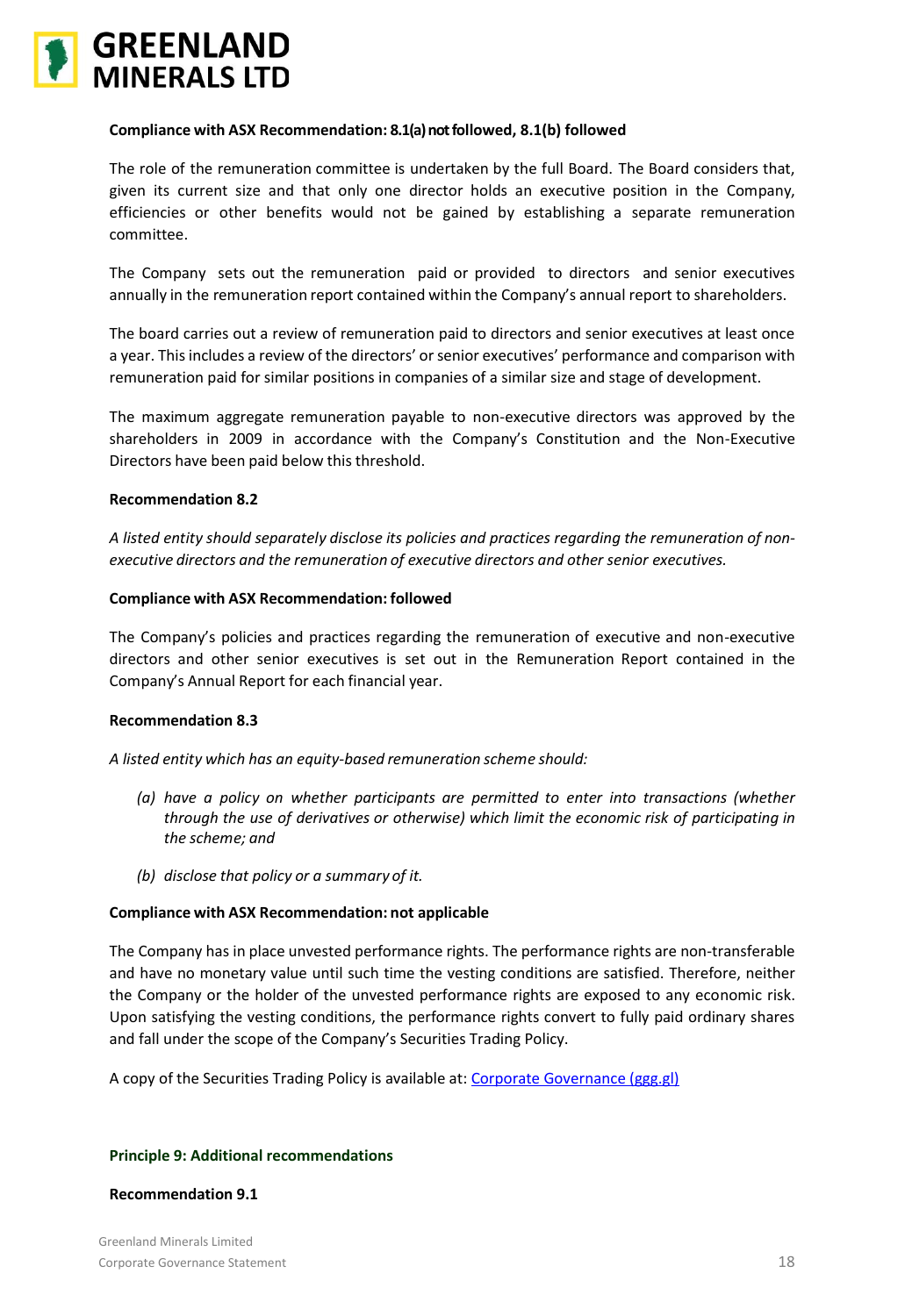

# **Compliance with ASX Recommendation: 8.1(a) not followed, 8.1(b) followed**

The role of the remuneration committee is undertaken by the full Board. The Board considers that, given its current size and that only one director holds an executive position in the Company, efficiencies or other benefits would not be gained by establishing a separate remuneration committee.

The Company sets out the remuneration paid or provided to directors and senior executives annually in the remuneration report contained within the Company's annual report to shareholders.

The board carries out a review of remuneration paid to directors and senior executives at least once a year. This includes a review of the directors' or senior executives' performance and comparison with remuneration paid for similar positions in companies of a similar size and stage of development.

The maximum aggregate remuneration payable to non-executive directors was approved by the shareholders in 2009 in accordance with the Company's Constitution and the Non-Executive Directors have been paid below this threshold.

### **Recommendation 8.2**

*A listed entity should separately disclose its policies and practices regarding the remuneration of nonexecutive directors and the remuneration of executive directors and other senior executives.*

### **Compliance with ASX Recommendation: followed**

The Company's policies and practices regarding the remuneration of executive and non-executive directors and other senior executives is set out in the Remuneration Report contained in the Company's Annual Report for each financial year.

### **Recommendation 8.3**

*A listed entity which has an equity-based remuneration scheme should:*

- *(a) have a policy on whether participants are permitted to enter into transactions (whether through the use of derivatives or otherwise) which limit the economic risk of participating in the scheme; and*
- *(b) disclose that policy or a summary of it.*

### **Compliance with ASX Recommendation: not applicable**

The Company has in place unvested performance rights. The performance rights are non-transferable and have no monetary value until such time the vesting conditions are satisfied. Therefore, neither the Company or the holder of the unvested performance rights are exposed to any economic risk. Upon satisfying the vesting conditions, the performance rights convert to fully paid ordinary shares and fall under the scope of the Company's Securities Trading Policy.

A copy of the Securities Trading Policy is available at: [Corporate Governance \(ggg.gl\)](https://www.ggg.gl/investors/corporate-governance/)

### **Principle 9: Additional recommendations**

### **Recommendation 9.1**